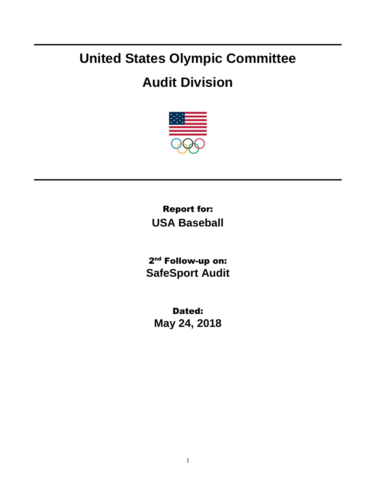## **United States Olympic Committee**

## **Audit Division**



Report for: **USA Baseball**

2<sup>nd</sup> Follow-up on: **SafeSport Audit**

Dated: **May 24, 2018**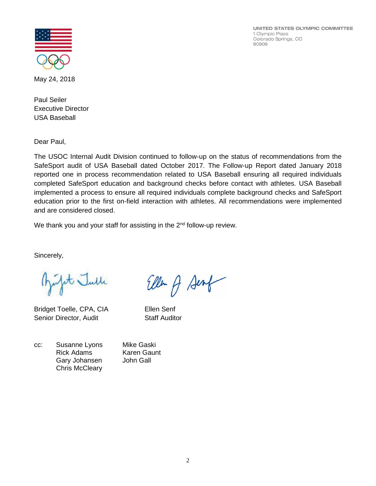UNITED STATES OLYMPIC COMMITTEE 1 Olympic Plaza Colorado Springs, CO 80909



May 24, 2018

Paul Seiler Executive Director USA Baseball

Dear Paul,

The USOC Internal Audit Division continued to follow-up on the status of recommendations from the SafeSport audit of USA Baseball dated October 2017. The Follow-up Report dated January 2018 reported one in process recommendation related to USA Baseball ensuring all required individuals completed SafeSport education and background checks before contact with athletes. USA Baseball implemented a process to ensure all required individuals complete background checks and SafeSport education prior to the first on-field interaction with athletes. All recommendations were implemented and are considered closed.

We thank you and your staff for assisting in the  $2<sup>nd</sup>$  follow-up review.

Sincerely,

Jet Julle

Bridget Toelle, CPA, CIA Ellen Senf Senior Director, Audit Staff Auditor

Ellen of Senf

cc: Susanne Lyons Mike Gaski Rick Adams Karen Gaunt Gary Johansen John Gall

Chris McCleary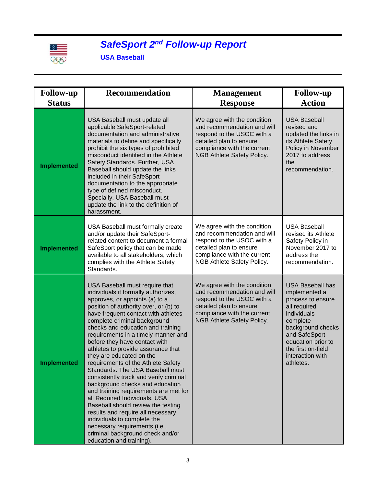

## *SafeSport 2 nd Follow-up Report*

**USA Baseball**

| <b>Follow-up</b><br><b>Status</b> | <b>Recommendation</b>                                                                                                                                                                                                                                                                                                                                                                                                                                                                                                                                                                                                                                                                                                                                                                                                                              | <b>Management</b>                                                                                                                                                                | <b>Follow-up</b><br><b>Action</b>                                                                                                                                                                                           |
|-----------------------------------|----------------------------------------------------------------------------------------------------------------------------------------------------------------------------------------------------------------------------------------------------------------------------------------------------------------------------------------------------------------------------------------------------------------------------------------------------------------------------------------------------------------------------------------------------------------------------------------------------------------------------------------------------------------------------------------------------------------------------------------------------------------------------------------------------------------------------------------------------|----------------------------------------------------------------------------------------------------------------------------------------------------------------------------------|-----------------------------------------------------------------------------------------------------------------------------------------------------------------------------------------------------------------------------|
|                                   |                                                                                                                                                                                                                                                                                                                                                                                                                                                                                                                                                                                                                                                                                                                                                                                                                                                    | <b>Response</b>                                                                                                                                                                  |                                                                                                                                                                                                                             |
| <b>Implemented</b>                | USA Baseball must update all<br>applicable SafeSport-related<br>documentation and administrative<br>materials to define and specifically<br>prohibit the six types of prohibited<br>misconduct identified in the Athlete<br>Safety Standards. Further, USA<br>Baseball should update the links<br>included in their SafeSport<br>documentation to the appropriate<br>type of defined misconduct.<br>Specially, USA Baseball must<br>update the link to the definition of<br>harassment.                                                                                                                                                                                                                                                                                                                                                            | We agree with the condition<br>and recommendation and will<br>respond to the USOC with a<br>detailed plan to ensure<br>compliance with the current<br>NGB Athlete Safety Policy. | <b>USA Baseball</b><br>revised and<br>updated the links in<br>its Athlete Safety<br>Policy in November<br>2017 to address<br>the<br>recommendation.                                                                         |
| <b>Implemented</b>                | USA Baseball must formally create<br>and/or update their SafeSport-<br>related content to document a formal<br>SafeSport policy that can be made<br>available to all stakeholders, which<br>complies with the Athlete Safety<br>Standards.                                                                                                                                                                                                                                                                                                                                                                                                                                                                                                                                                                                                         | We agree with the condition<br>and recommendation and will<br>respond to the USOC with a<br>detailed plan to ensure<br>compliance with the current<br>NGB Athlete Safety Policy. | <b>USA Baseball</b><br>revised its Athlete<br>Safety Policy in<br>November 2017 to<br>address the<br>recommendation.                                                                                                        |
| <b>Implemented</b>                | USA Baseball must require that<br>individuals it formally authorizes,<br>approves, or appoints (a) to a<br>position of authority over, or (b) to<br>have frequent contact with athletes<br>complete criminal background<br>checks and education and training<br>requirements in a timely manner and<br>before they have contact with<br>athletes to provide assurance that<br>they are educated on the<br>requirements of the Athlete Safety<br>Standards. The USA Baseball must<br>consistently track and verify criminal<br>background checks and education<br>and training requirements are met for<br>all Required Individuals. USA<br>Baseball should review the testing<br>results and require all necessary<br>individuals to complete the<br>necessary requirements (i.e.,<br>criminal background check and/or<br>education and training). | We agree with the condition<br>and recommendation and will<br>respond to the USOC with a<br>detailed plan to ensure<br>compliance with the current<br>NGB Athlete Safety Policy. | <b>USA Baseball has</b><br>implemented a<br>process to ensure<br>all required<br>individuals<br>complete<br>background checks<br>and SafeSport<br>education prior to<br>the first on-field<br>interaction with<br>athletes. |